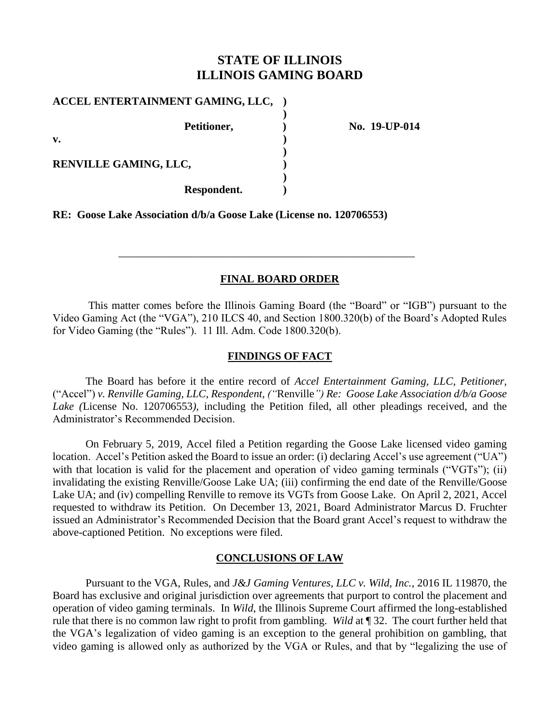## **STATE OF ILLINOIS ILLINOIS GAMING BOARD**

| ACCEL ENTERTAINMENT GAMING, LLC, |  |
|----------------------------------|--|
| Petitioner,                      |  |
| v.                               |  |
| RENVILLE GAMING, LLC,            |  |
| Respondent.                      |  |

**Petitioner, ) No. 19-UP-014**

**RE: Goose Lake Association d/b/a Goose Lake (License no. 120706553)**

## **FINAL BOARD ORDER**

\_\_\_\_\_\_\_\_\_\_\_\_\_\_\_\_\_\_\_\_\_\_\_\_\_\_\_\_\_\_\_\_\_\_\_\_\_\_\_\_\_\_\_\_\_\_\_\_\_\_\_\_\_\_

This matter comes before the Illinois Gaming Board (the "Board" or "IGB") pursuant to the Video Gaming Act (the "VGA"), 210 ILCS 40, and Section 1800.320(b) of the Board's Adopted Rules for Video Gaming (the "Rules"). 11 Ill. Adm. Code 1800.320(b).

### **FINDINGS OF FACT**

The Board has before it the entire record of *Accel Entertainment Gaming, LLC, Petitioner,*  ("Accel") *v. Renville Gaming, LLC, Respondent, ("*Renville*") Re: Goose Lake Association d/b/a Goose Lake (*License No. 120706553*),* including the Petition filed, all other pleadings received, and the Administrator's Recommended Decision.

On February 5, 2019, Accel filed a Petition regarding the Goose Lake licensed video gaming location. Accel's Petition asked the Board to issue an order: (i) declaring Accel's use agreement ("UA") with that location is valid for the placement and operation of video gaming terminals ("VGTs"); (ii) invalidating the existing Renville/Goose Lake UA; (iii) confirming the end date of the Renville/Goose Lake UA; and (iv) compelling Renville to remove its VGTs from Goose Lake. On April 2, 2021, Accel requested to withdraw its Petition. On December 13, 2021, Board Administrator Marcus D. Fruchter issued an Administrator's Recommended Decision that the Board grant Accel's request to withdraw the above-captioned Petition. No exceptions were filed.

## **CONCLUSIONS OF LAW**

Pursuant to the VGA, Rules, and *J&J Gaming Ventures, LLC v. Wild, Inc.*, 2016 IL 119870, the Board has exclusive and original jurisdiction over agreements that purport to control the placement and operation of video gaming terminals. In *Wild*, the Illinois Supreme Court affirmed the long-established rule that there is no common law right to profit from gambling. *Wild* at ¶ 32. The court further held that the VGA's legalization of video gaming is an exception to the general prohibition on gambling, that video gaming is allowed only as authorized by the VGA or Rules, and that by "legalizing the use of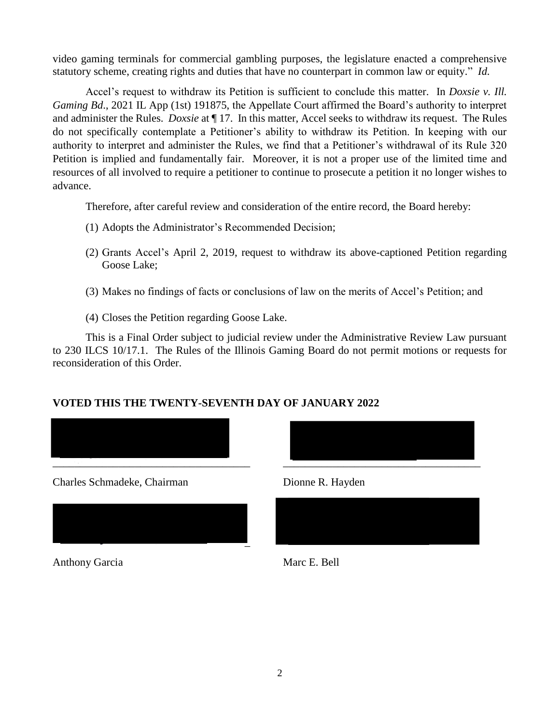video gaming terminals for commercial gambling purposes, the legislature enacted a comprehensive statutory scheme, creating rights and duties that have no counterpart in common law or equity." *Id.*

Accel's request to withdraw its Petition is sufficient to conclude this matter. In *Doxsie v. Ill. Gaming Bd*., 2021 IL App (1st) 191875, the Appellate Court affirmed the Board's authority to interpret and administer the Rules. *Doxsie* at ¶ 17. In this matter, Accel seeks to withdraw its request. The Rules do not specifically contemplate a Petitioner's ability to withdraw its Petition. In keeping with our authority to interpret and administer the Rules, we find that a Petitioner's withdrawal of its Rule 320 Petition is implied and fundamentally fair. Moreover, it is not a proper use of the limited time and resources of all involved to require a petitioner to continue to prosecute a petition it no longer wishes to advance.

Therefore, after careful review and consideration of the entire record, the Board hereby:

- (1) Adopts the Administrator's Recommended Decision;
- (2) Grants Accel's April 2, 2019, request to withdraw its above-captioned Petition regarding Goose Lake;
- (3) Makes no findings of facts or conclusions of law on the merits of Accel's Petition; and
- (4) Closes the Petition regarding Goose Lake.

This is a Final Order subject to judicial review under the Administrative Review Law pursuant to 230 ILCS 10/17.1. The Rules of the Illinois Gaming Board do not permit motions or requests for reconsideration of this Order.

# **VOTED THIS THE TWENTY-SEVENTH DAY OF JANUARY 2022**





Anthony Garcia Marc E. Bell



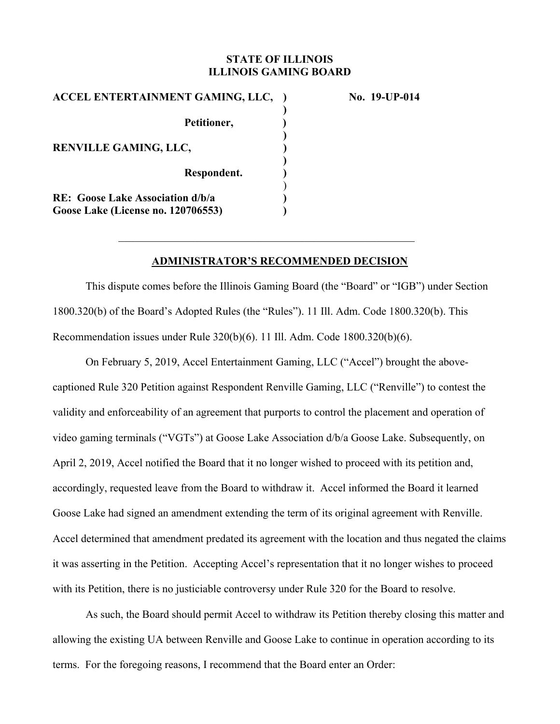### **STATE OF ILLINOIS ILLINOIS GAMING BOARD**

| ACCEL ENTERTAINMENT GAMING, LLC,          |  |
|-------------------------------------------|--|
| Petitioner,                               |  |
| <b>RENVILLE GAMING, LLC,</b>              |  |
| Respondent.                               |  |
| <b>RE:</b> Goose Lake Association d/b/a   |  |
| <b>Goose Lake (License no. 120706553)</b> |  |

**No. 19-UP-014** 

### **ADMINISTRATOR'S RECOMMENDED DECISION**

This dispute comes before the Illinois Gaming Board (the "Board" or "IGB") under Section 1800.320(b) of the Board's Adopted Rules (the "Rules"). 11 Ill. Adm. Code 1800.320(b). This Recommendation issues under Rule 320(b)(6). 11 Ill. Adm. Code 1800.320(b)(6).

On February 5, 2019, Accel Entertainment Gaming, LLC ("Accel") brought the abovecaptioned Rule 320 Petition against Respondent Renville Gaming, LLC ("Renville") to contest the validity and enforceability of an agreement that purports to control the placement and operation of video gaming terminals ("VGTs") at Goose Lake Association d/b/a Goose Lake. Subsequently, on April 2, 2019, Accel notified the Board that it no longer wished to proceed with its petition and, accordingly, requested leave from the Board to withdraw it. Accel informed the Board it learned Goose Lake had signed an amendment extending the term of its original agreement with Renville. Accel determined that amendment predated its agreement with the location and thus negated the claims it was asserting in the Petition. Accepting Accel's representation that it no longer wishes to proceed with its Petition, there is no justiciable controversy under Rule 320 for the Board to resolve.

As such, the Board should permit Accel to withdraw its Petition thereby closing this matter and allowing the existing UA between Renville and Goose Lake to continue in operation according to its terms. For the foregoing reasons, I recommend that the Board enter an Order: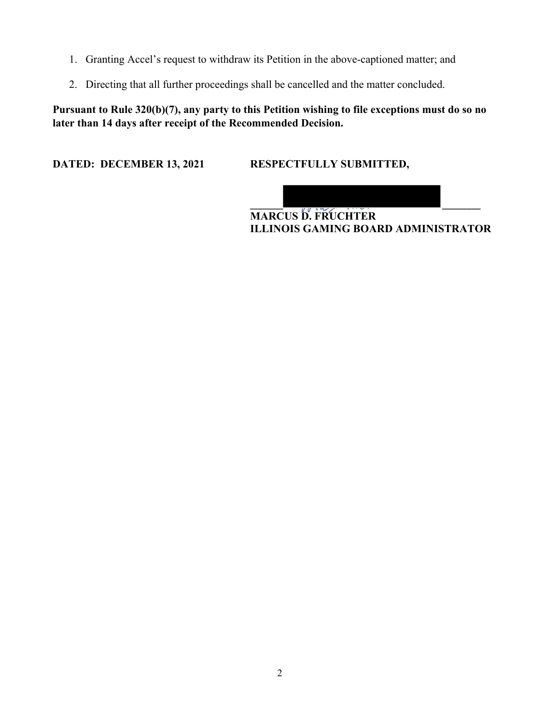- 1. Granting Accel's request to withdraw its Petition in the above-captioned matter; and
- 2. Directing that all further proceedings shall be cancelled and the matter concluded.

**Pursuant to Rule 320(b)(7), any party to this Petition wishing to file exceptions must do so no later than 14 days after receipt of the Recommended Decision.** 

**DATED: DECEMBER 13, 2021 RESPECTFULLY SUBMITTED,** 

**\_\_\_\_\_\_ \_\_\_\_\_\_\_ MARCUS D. FRUCHTER ILLINOIS GAMING BOARD ADMINISTRATOR**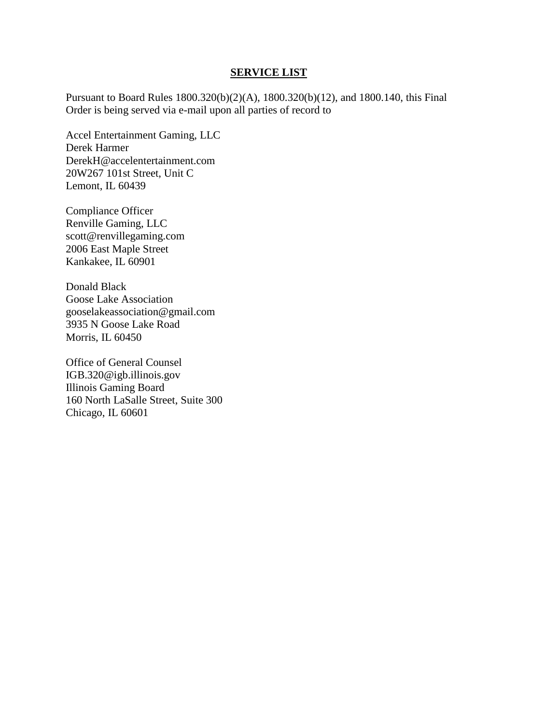#### **SERVICE LIST**

Pursuant to Board Rules 1800.320(b)(2)(A), 1800.320(b)(12), and 1800.140, this Final Order is being served via e-mail upon all parties of record to

Accel Entertainment Gaming, LLC Derek Harmer DerekH@accelentertainment.com 20W267 101st Street, Unit C Lemont, IL 60439

Compliance Officer Renville Gaming, LLC scott@renvillegaming.com 2006 East Maple Street Kankakee, IL 60901

Donald Black Goose Lake Association gooselakeassociation@gmail.com 3935 N Goose Lake Road Morris, IL 60450

Office of General Counsel IGB.320@igb.illinois.gov Illinois Gaming Board 160 North LaSalle Street, Suite 300 Chicago, IL 60601